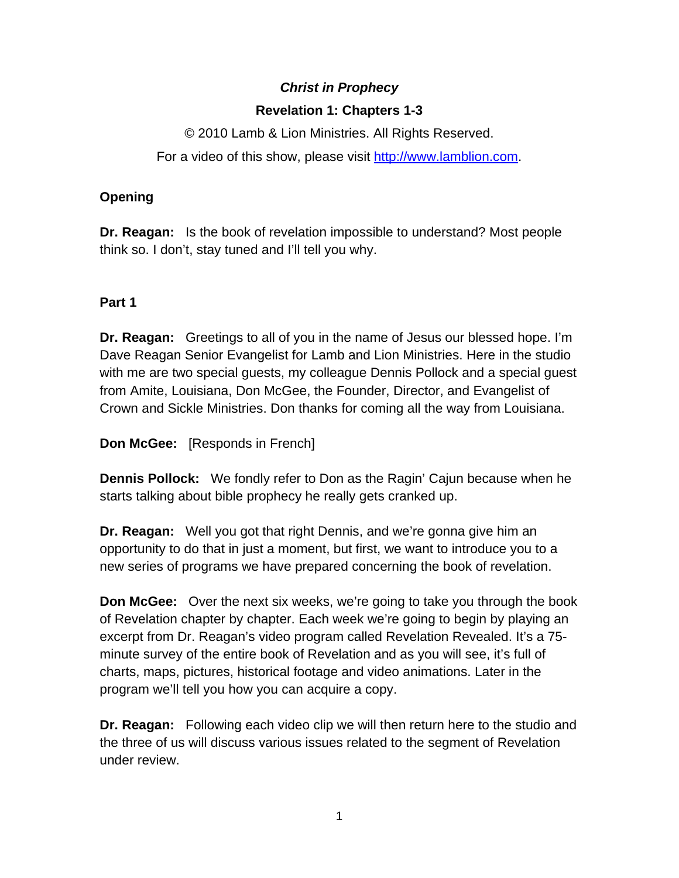# *Christ in Prophecy*

## **Revelation 1: Chapters 1-3**

© 2010 Lamb & Lion Ministries. All Rights Reserved. For a video of this show, please visit [http://www.lamblion.com](http://www.lamblion.com/).

### **Opening**

**Dr. Reagan:** Is the book of revelation impossible to understand? Most people think so. I don't, stay tuned and I'll tell you why.

### **Part 1**

**Dr. Reagan:** Greetings to all of you in the name of Jesus our blessed hope. I'm Dave Reagan Senior Evangelist for Lamb and Lion Ministries. Here in the studio with me are two special guests, my colleague Dennis Pollock and a special guest from Amite, Louisiana, Don McGee, the Founder, Director, and Evangelist of Crown and Sickle Ministries. Don thanks for coming all the way from Louisiana.

**Don McGee:** [Responds in French]

**Dennis Pollock:** We fondly refer to Don as the Ragin' Cajun because when he starts talking about bible prophecy he really gets cranked up.

**Dr. Reagan:** Well you got that right Dennis, and we're gonna give him an opportunity to do that in just a moment, but first, we want to introduce you to a new series of programs we have prepared concerning the book of revelation.

**Don McGee:** Over the next six weeks, we're going to take you through the book of Revelation chapter by chapter. Each week we're going to begin by playing an excerpt from Dr. Reagan's video program called Revelation Revealed. It's a 75 minute survey of the entire book of Revelation and as you will see, it's full of charts, maps, pictures, historical footage and video animations. Later in the program we'll tell you how you can acquire a copy.

**Dr. Reagan:** Following each video clip we will then return here to the studio and the three of us will discuss various issues related to the segment of Revelation under review.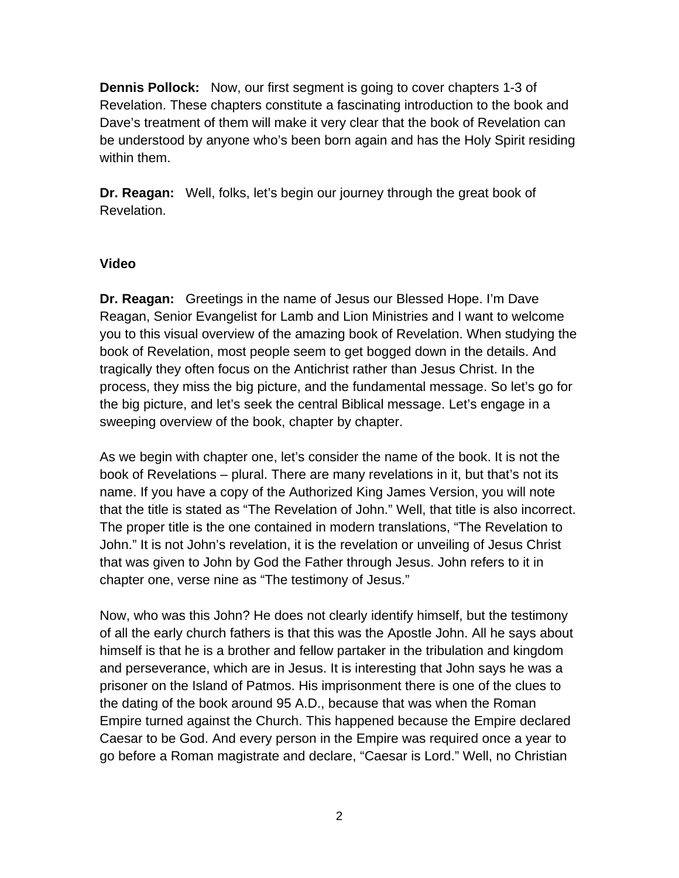**Dennis Pollock:** Now, our first segment is going to cover chapters 1-3 of Revelation. These chapters constitute a fascinating introduction to the book and Dave's treatment of them will make it very clear that the book of Revelation can be understood by anyone who's been born again and has the Holy Spirit residing within them.

**Dr. Reagan:** Well, folks, let's begin our journey through the great book of Revelation.

#### **Video**

**Dr. Reagan:** Greetings in the name of Jesus our Blessed Hope. I'm Dave Reagan, Senior Evangelist for Lamb and Lion Ministries and I want to welcome you to this visual overview of the amazing book of Revelation. When studying the book of Revelation, most people seem to get bogged down in the details. And tragically they often focus on the Antichrist rather than Jesus Christ. In the process, they miss the big picture, and the fundamental message. So let's go for the big picture, and let's seek the central Biblical message. Let's engage in a sweeping overview of the book, chapter by chapter.

As we begin with chapter one, let's consider the name of the book. It is not the book of Revelations – plural. There are many revelations in it, but that's not its name. If you have a copy of the Authorized King James Version, you will note that the title is stated as "The Revelation of John." Well, that title is also incorrect. The proper title is the one contained in modern translations, "The Revelation to John." It is not John's revelation, it is the revelation or unveiling of Jesus Christ that was given to John by God the Father through Jesus. John refers to it in chapter one, verse nine as "The testimony of Jesus."

Now, who was this John? He does not clearly identify himself, but the testimony of all the early church fathers is that this was the Apostle John. All he says about himself is that he is a brother and fellow partaker in the tribulation and kingdom and perseverance, which are in Jesus. It is interesting that John says he was a prisoner on the Island of Patmos. His imprisonment there is one of the clues to the dating of the book around 95 A.D., because that was when the Roman Empire turned against the Church. This happened because the Empire declared Caesar to be God. And every person in the Empire was required once a year to go before a Roman magistrate and declare, "Caesar is Lord." Well, no Christian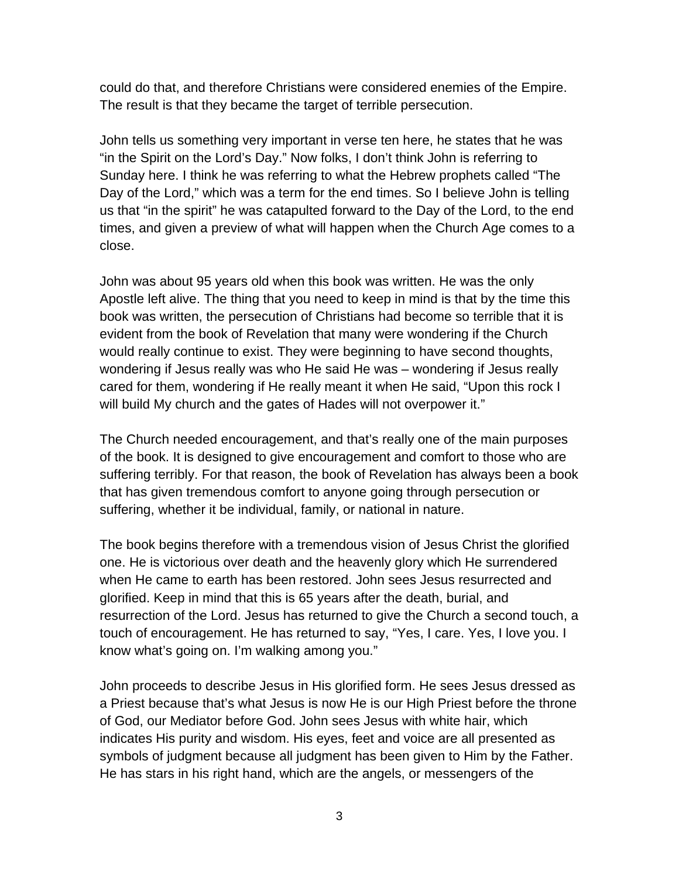could do that, and therefore Christians were considered enemies of the Empire. The result is that they became the target of terrible persecution.

John tells us something very important in verse ten here, he states that he was "in the Spirit on the Lord's Day." Now folks, I don't think John is referring to Sunday here. I think he was referring to what the Hebrew prophets called "The Day of the Lord," which was a term for the end times. So I believe John is telling us that "in the spirit" he was catapulted forward to the Day of the Lord, to the end times, and given a preview of what will happen when the Church Age comes to a close.

John was about 95 years old when this book was written. He was the only Apostle left alive. The thing that you need to keep in mind is that by the time this book was written, the persecution of Christians had become so terrible that it is evident from the book of Revelation that many were wondering if the Church would really continue to exist. They were beginning to have second thoughts, wondering if Jesus really was who He said He was – wondering if Jesus really cared for them, wondering if He really meant it when He said, "Upon this rock I will build My church and the gates of Hades will not overpower it."

The Church needed encouragement, and that's really one of the main purposes of the book. It is designed to give encouragement and comfort to those who are suffering terribly. For that reason, the book of Revelation has always been a book that has given tremendous comfort to anyone going through persecution or suffering, whether it be individual, family, or national in nature.

The book begins therefore with a tremendous vision of Jesus Christ the glorified one. He is victorious over death and the heavenly glory which He surrendered when He came to earth has been restored. John sees Jesus resurrected and glorified. Keep in mind that this is 65 years after the death, burial, and resurrection of the Lord. Jesus has returned to give the Church a second touch, a touch of encouragement. He has returned to say, "Yes, I care. Yes, I love you. I know what's going on. I'm walking among you."

John proceeds to describe Jesus in His glorified form. He sees Jesus dressed as a Priest because that's what Jesus is now He is our High Priest before the throne of God, our Mediator before God. John sees Jesus with white hair, which indicates His purity and wisdom. His eyes, feet and voice are all presented as symbols of judgment because all judgment has been given to Him by the Father. He has stars in his right hand, which are the angels, or messengers of the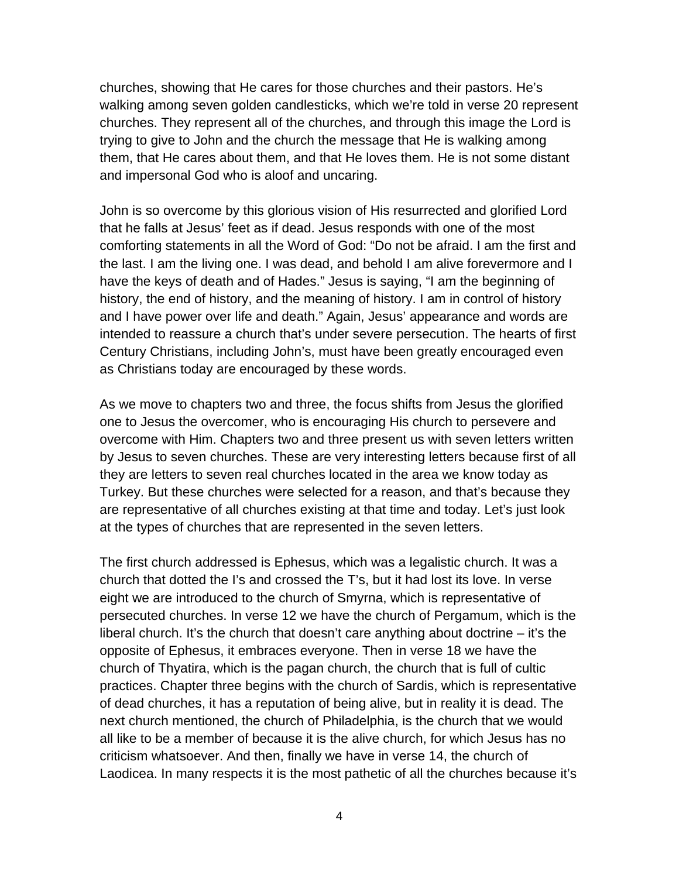churches, showing that He cares for those churches and their pastors. He's walking among seven golden candlesticks, which we're told in verse 20 represent churches. They represent all of the churches, and through this image the Lord is trying to give to John and the church the message that He is walking among them, that He cares about them, and that He loves them. He is not some distant and impersonal God who is aloof and uncaring.

John is so overcome by this glorious vision of His resurrected and glorified Lord that he falls at Jesus' feet as if dead. Jesus responds with one of the most comforting statements in all the Word of God: "Do not be afraid. I am the first and the last. I am the living one. I was dead, and behold I am alive forevermore and I have the keys of death and of Hades." Jesus is saying, "I am the beginning of history, the end of history, and the meaning of history. I am in control of history and I have power over life and death." Again, Jesus' appearance and words are intended to reassure a church that's under severe persecution. The hearts of first Century Christians, including John's, must have been greatly encouraged even as Christians today are encouraged by these words.

As we move to chapters two and three, the focus shifts from Jesus the glorified one to Jesus the overcomer, who is encouraging His church to persevere and overcome with Him. Chapters two and three present us with seven letters written by Jesus to seven churches. These are very interesting letters because first of all they are letters to seven real churches located in the area we know today as Turkey. But these churches were selected for a reason, and that's because they are representative of all churches existing at that time and today. Let's just look at the types of churches that are represented in the seven letters.

The first church addressed is Ephesus, which was a legalistic church. It was a church that dotted the I's and crossed the T's, but it had lost its love. In verse eight we are introduced to the church of Smyrna, which is representative of persecuted churches. In verse 12 we have the church of Pergamum, which is the liberal church. It's the church that doesn't care anything about doctrine – it's the opposite of Ephesus, it embraces everyone. Then in verse 18 we have the church of Thyatira, which is the pagan church, the church that is full of cultic practices. Chapter three begins with the church of Sardis, which is representative of dead churches, it has a reputation of being alive, but in reality it is dead. The next church mentioned, the church of Philadelphia, is the church that we would all like to be a member of because it is the alive church, for which Jesus has no criticism whatsoever. And then, finally we have in verse 14, the church of Laodicea. In many respects it is the most pathetic of all the churches because it's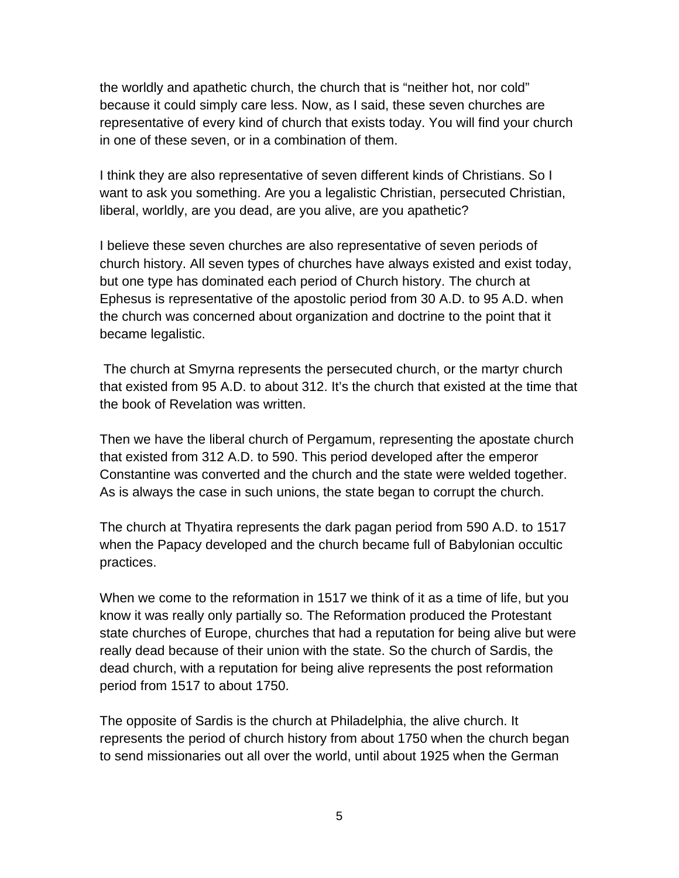the worldly and apathetic church, the church that is "neither hot, nor cold" because it could simply care less. Now, as I said, these seven churches are representative of every kind of church that exists today. You will find your church in one of these seven, or in a combination of them.

I think they are also representative of seven different kinds of Christians. So I want to ask you something. Are you a legalistic Christian, persecuted Christian, liberal, worldly, are you dead, are you alive, are you apathetic?

I believe these seven churches are also representative of seven periods of church history. All seven types of churches have always existed and exist today, but one type has dominated each period of Church history. The church at Ephesus is representative of the apostolic period from 30 A.D. to 95 A.D. when the church was concerned about organization and doctrine to the point that it became legalistic.

 The church at Smyrna represents the persecuted church, or the martyr church that existed from 95 A.D. to about 312. It's the church that existed at the time that the book of Revelation was written.

Then we have the liberal church of Pergamum, representing the apostate church that existed from 312 A.D. to 590. This period developed after the emperor Constantine was converted and the church and the state were welded together. As is always the case in such unions, the state began to corrupt the church.

The church at Thyatira represents the dark pagan period from 590 A.D. to 1517 when the Papacy developed and the church became full of Babylonian occultic practices.

When we come to the reformation in 1517 we think of it as a time of life, but you know it was really only partially so. The Reformation produced the Protestant state churches of Europe, churches that had a reputation for being alive but were really dead because of their union with the state. So the church of Sardis, the dead church, with a reputation for being alive represents the post reformation period from 1517 to about 1750.

The opposite of Sardis is the church at Philadelphia, the alive church. It represents the period of church history from about 1750 when the church began to send missionaries out all over the world, until about 1925 when the German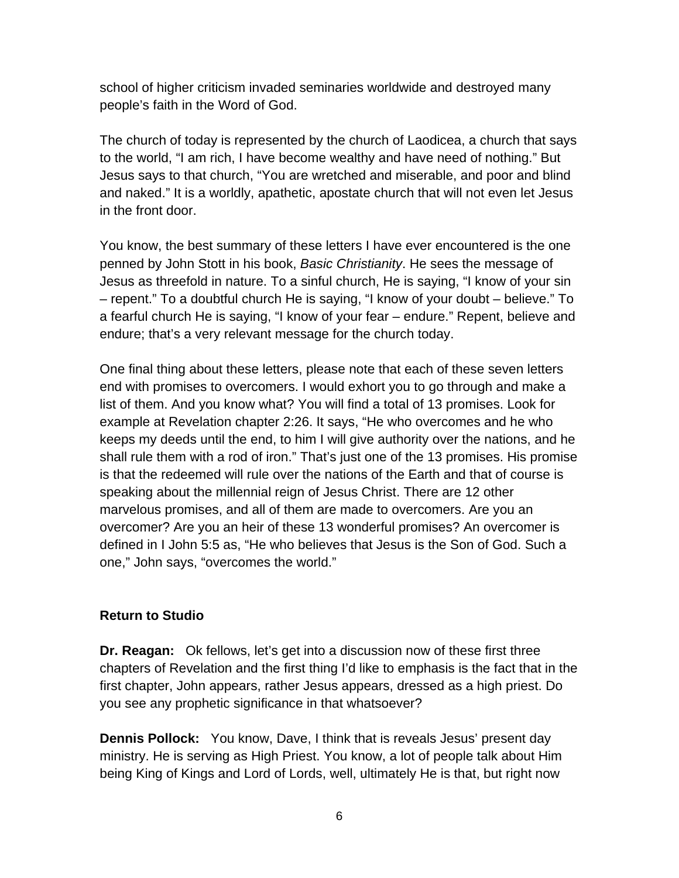school of higher criticism invaded seminaries worldwide and destroyed many people's faith in the Word of God.

The church of today is represented by the church of Laodicea, a church that says to the world, "I am rich, I have become wealthy and have need of nothing." But Jesus says to that church, "You are wretched and miserable, and poor and blind and naked." It is a worldly, apathetic, apostate church that will not even let Jesus in the front door.

You know, the best summary of these letters I have ever encountered is the one penned by John Stott in his book, *Basic Christianity*. He sees the message of Jesus as threefold in nature. To a sinful church, He is saying, "I know of your sin – repent." To a doubtful church He is saying, "I know of your doubt – believe." To a fearful church He is saying, "I know of your fear – endure." Repent, believe and endure; that's a very relevant message for the church today.

One final thing about these letters, please note that each of these seven letters end with promises to overcomers. I would exhort you to go through and make a list of them. And you know what? You will find a total of 13 promises. Look for example at Revelation chapter 2:26. It says, "He who overcomes and he who keeps my deeds until the end, to him I will give authority over the nations, and he shall rule them with a rod of iron." That's just one of the 13 promises. His promise is that the redeemed will rule over the nations of the Earth and that of course is speaking about the millennial reign of Jesus Christ. There are 12 other marvelous promises, and all of them are made to overcomers. Are you an overcomer? Are you an heir of these 13 wonderful promises? An overcomer is defined in I John 5:5 as, "He who believes that Jesus is the Son of God. Such a one," John says, "overcomes the world."

#### **Return to Studio**

**Dr. Reagan:** Ok fellows, let's get into a discussion now of these first three chapters of Revelation and the first thing I'd like to emphasis is the fact that in the first chapter, John appears, rather Jesus appears, dressed as a high priest. Do you see any prophetic significance in that whatsoever?

**Dennis Pollock:** You know, Dave, I think that is reveals Jesus' present day ministry. He is serving as High Priest. You know, a lot of people talk about Him being King of Kings and Lord of Lords, well, ultimately He is that, but right now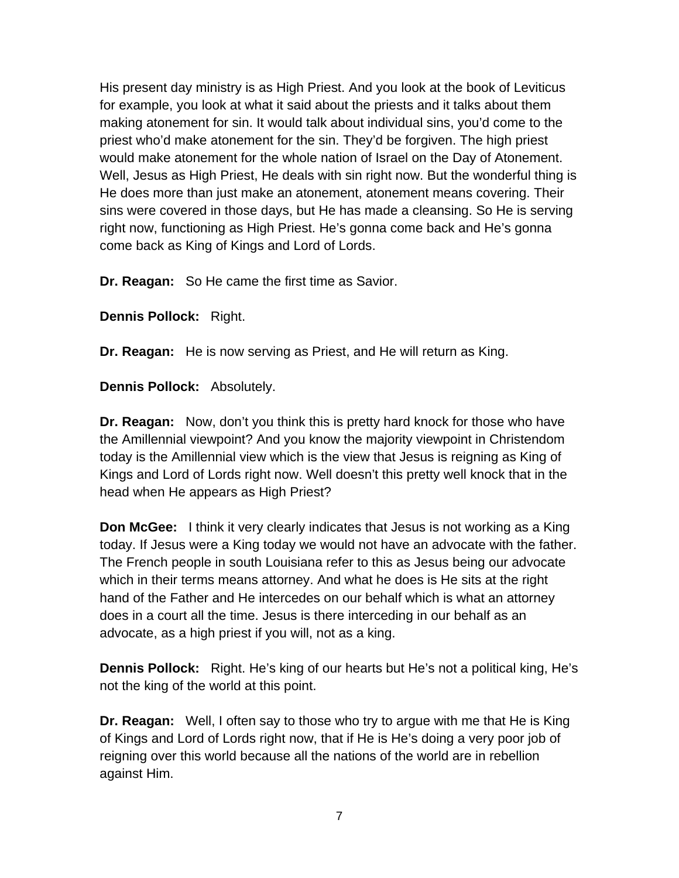His present day ministry is as High Priest. And you look at the book of Leviticus for example, you look at what it said about the priests and it talks about them making atonement for sin. It would talk about individual sins, you'd come to the priest who'd make atonement for the sin. They'd be forgiven. The high priest would make atonement for the whole nation of Israel on the Day of Atonement. Well, Jesus as High Priest, He deals with sin right now. But the wonderful thing is He does more than just make an atonement, atonement means covering. Their sins were covered in those days, but He has made a cleansing. So He is serving right now, functioning as High Priest. He's gonna come back and He's gonna come back as King of Kings and Lord of Lords.

**Dr. Reagan:** So He came the first time as Savior.

**Dennis Pollock:** Right.

**Dr. Reagan:** He is now serving as Priest, and He will return as King.

**Dennis Pollock:** Absolutely.

**Dr. Reagan:** Now, don't you think this is pretty hard knock for those who have the Amillennial viewpoint? And you know the majority viewpoint in Christendom today is the Amillennial view which is the view that Jesus is reigning as King of Kings and Lord of Lords right now. Well doesn't this pretty well knock that in the head when He appears as High Priest?

**Don McGee:** I think it very clearly indicates that Jesus is not working as a King today. If Jesus were a King today we would not have an advocate with the father. The French people in south Louisiana refer to this as Jesus being our advocate which in their terms means attorney. And what he does is He sits at the right hand of the Father and He intercedes on our behalf which is what an attorney does in a court all the time. Jesus is there interceding in our behalf as an advocate, as a high priest if you will, not as a king.

**Dennis Pollock:** Right. He's king of our hearts but He's not a political king, He's not the king of the world at this point.

**Dr. Reagan:** Well, I often say to those who try to argue with me that He is King of Kings and Lord of Lords right now, that if He is He's doing a very poor job of reigning over this world because all the nations of the world are in rebellion against Him.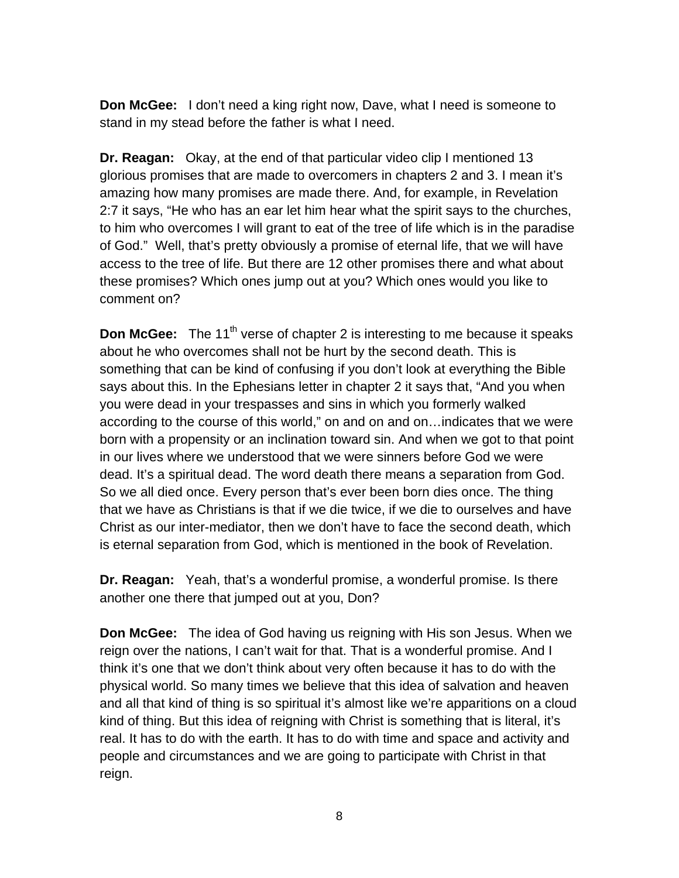**Don McGee:** I don't need a king right now, Dave, what I need is someone to stand in my stead before the father is what I need.

**Dr. Reagan:** Okay, at the end of that particular video clip I mentioned 13 glorious promises that are made to overcomers in chapters 2 and 3. I mean it's amazing how many promises are made there. And, for example, in Revelation 2:7 it says, "He who has an ear let him hear what the spirit says to the churches, to him who overcomes I will grant to eat of the tree of life which is in the paradise of God." Well, that's pretty obviously a promise of eternal life, that we will have access to the tree of life. But there are 12 other promises there and what about these promises? Which ones jump out at you? Which ones would you like to comment on?

**Don McGee:** The 11<sup>th</sup> verse of chapter 2 is interesting to me because it speaks about he who overcomes shall not be hurt by the second death. This is something that can be kind of confusing if you don't look at everything the Bible says about this. In the Ephesians letter in chapter 2 it says that, "And you when you were dead in your trespasses and sins in which you formerly walked according to the course of this world," on and on and on…indicates that we were born with a propensity or an inclination toward sin. And when we got to that point in our lives where we understood that we were sinners before God we were dead. It's a spiritual dead. The word death there means a separation from God. So we all died once. Every person that's ever been born dies once. The thing that we have as Christians is that if we die twice, if we die to ourselves and have Christ as our inter-mediator, then we don't have to face the second death, which is eternal separation from God, which is mentioned in the book of Revelation.

**Dr. Reagan:** Yeah, that's a wonderful promise, a wonderful promise. Is there another one there that jumped out at you, Don?

**Don McGee:** The idea of God having us reigning with His son Jesus. When we reign over the nations, I can't wait for that. That is a wonderful promise. And I think it's one that we don't think about very often because it has to do with the physical world. So many times we believe that this idea of salvation and heaven and all that kind of thing is so spiritual it's almost like we're apparitions on a cloud kind of thing. But this idea of reigning with Christ is something that is literal, it's real. It has to do with the earth. It has to do with time and space and activity and people and circumstances and we are going to participate with Christ in that reign.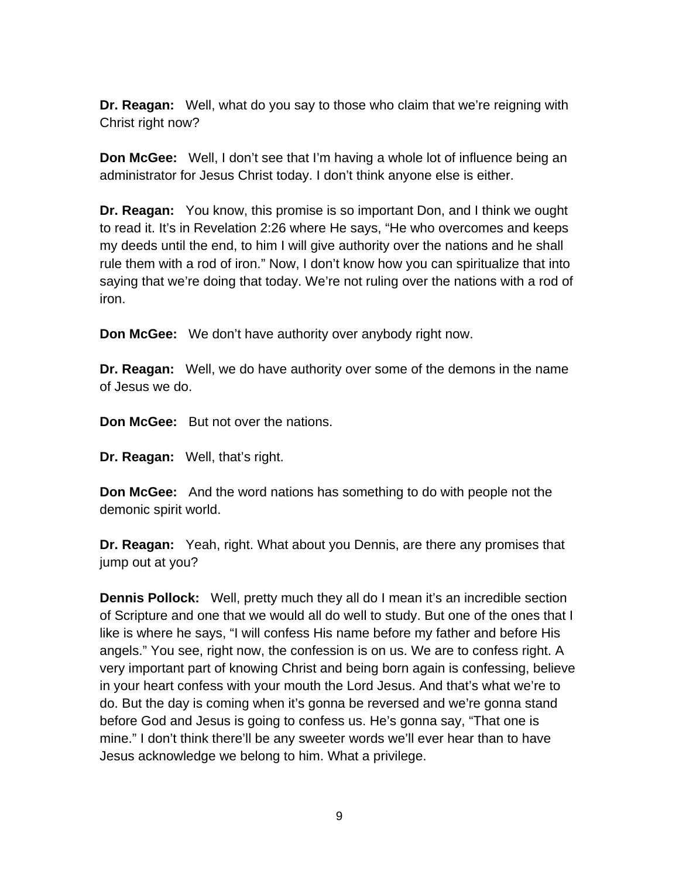**Dr. Reagan:** Well, what do you say to those who claim that we're reigning with Christ right now?

**Don McGee:** Well, I don't see that I'm having a whole lot of influence being an administrator for Jesus Christ today. I don't think anyone else is either.

**Dr. Reagan:** You know, this promise is so important Don, and I think we ought to read it. It's in Revelation 2:26 where He says, "He who overcomes and keeps my deeds until the end, to him I will give authority over the nations and he shall rule them with a rod of iron." Now, I don't know how you can spiritualize that into saying that we're doing that today. We're not ruling over the nations with a rod of iron.

**Don McGee:** We don't have authority over anybody right now.

**Dr. Reagan:** Well, we do have authority over some of the demons in the name of Jesus we do.

**Don McGee:** But not over the nations.

**Dr. Reagan:** Well, that's right.

**Don McGee:** And the word nations has something to do with people not the demonic spirit world.

**Dr. Reagan:** Yeah, right. What about you Dennis, are there any promises that jump out at you?

**Dennis Pollock:** Well, pretty much they all do I mean it's an incredible section of Scripture and one that we would all do well to study. But one of the ones that I like is where he says, "I will confess His name before my father and before His angels." You see, right now, the confession is on us. We are to confess right. A very important part of knowing Christ and being born again is confessing, believe in your heart confess with your mouth the Lord Jesus. And that's what we're to do. But the day is coming when it's gonna be reversed and we're gonna stand before God and Jesus is going to confess us. He's gonna say, "That one is mine." I don't think there'll be any sweeter words we'll ever hear than to have Jesus acknowledge we belong to him. What a privilege.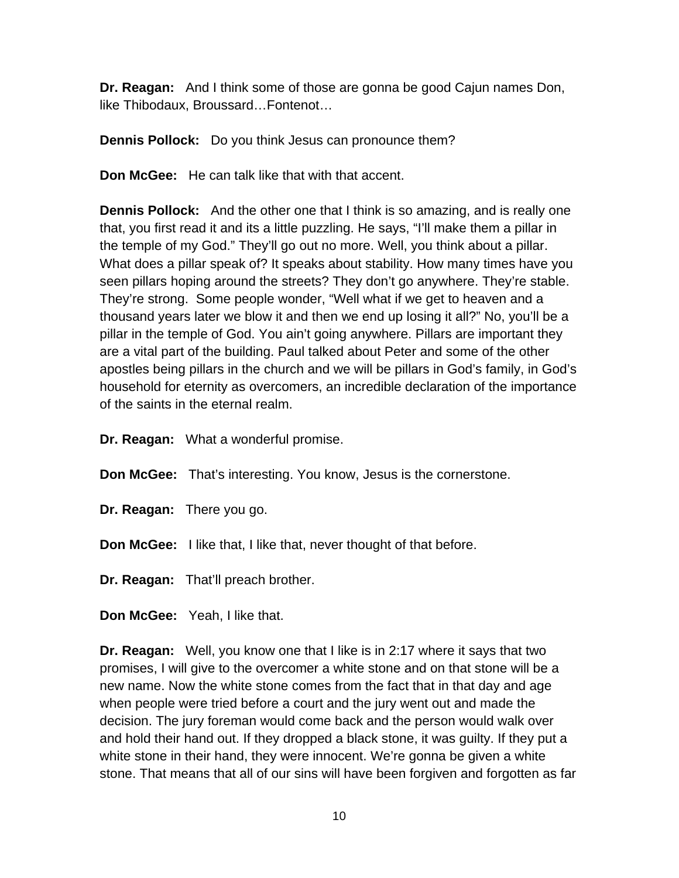**Dr. Reagan:** And I think some of those are gonna be good Cajun names Don, like Thibodaux, Broussard…Fontenot…

**Dennis Pollock:** Do you think Jesus can pronounce them?

**Don McGee:** He can talk like that with that accent.

**Dennis Pollock:** And the other one that I think is so amazing, and is really one that, you first read it and its a little puzzling. He says, "I'll make them a pillar in the temple of my God." They'll go out no more. Well, you think about a pillar. What does a pillar speak of? It speaks about stability. How many times have you seen pillars hoping around the streets? They don't go anywhere. They're stable. They're strong. Some people wonder, "Well what if we get to heaven and a thousand years later we blow it and then we end up losing it all?" No, you'll be a pillar in the temple of God. You ain't going anywhere. Pillars are important they are a vital part of the building. Paul talked about Peter and some of the other apostles being pillars in the church and we will be pillars in God's family, in God's household for eternity as overcomers, an incredible declaration of the importance of the saints in the eternal realm.

**Dr. Reagan:** What a wonderful promise.

**Don McGee:** That's interesting. You know, Jesus is the cornerstone.

**Dr. Reagan:** There you go.

**Don McGee:** I like that, I like that, never thought of that before.

**Dr. Reagan:** That'll preach brother.

**Don McGee:** Yeah, I like that.

**Dr. Reagan:** Well, you know one that I like is in 2:17 where it says that two promises, I will give to the overcomer a white stone and on that stone will be a new name. Now the white stone comes from the fact that in that day and age when people were tried before a court and the jury went out and made the decision. The jury foreman would come back and the person would walk over and hold their hand out. If they dropped a black stone, it was guilty. If they put a white stone in their hand, they were innocent. We're gonna be given a white stone. That means that all of our sins will have been forgiven and forgotten as far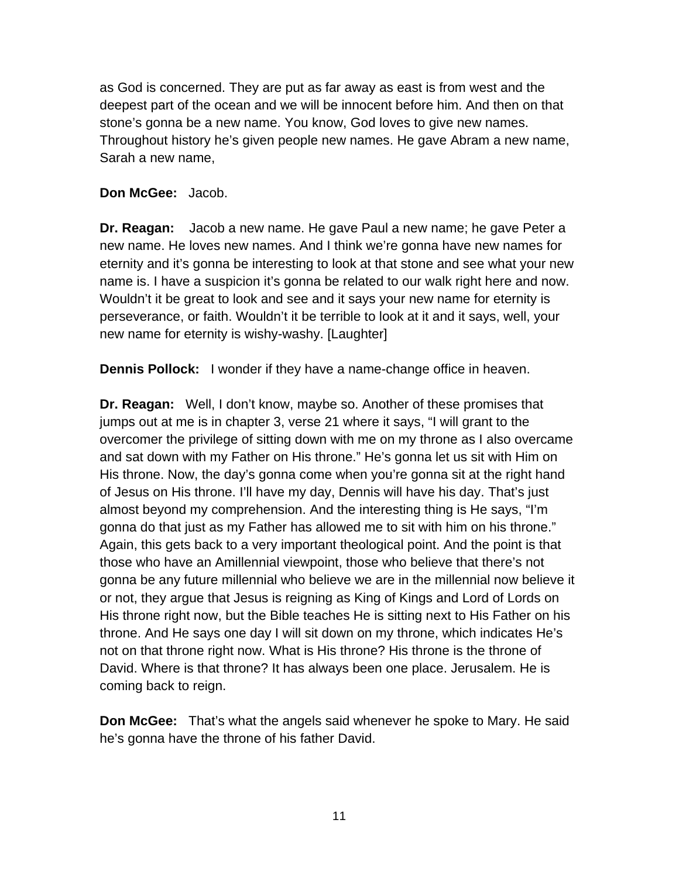as God is concerned. They are put as far away as east is from west and the deepest part of the ocean and we will be innocent before him. And then on that stone's gonna be a new name. You know, God loves to give new names. Throughout history he's given people new names. He gave Abram a new name, Sarah a new name,

### **Don McGee:** Jacob.

**Dr. Reagan:** Jacob a new name. He gave Paul a new name; he gave Peter a new name. He loves new names. And I think we're gonna have new names for eternity and it's gonna be interesting to look at that stone and see what your new name is. I have a suspicion it's gonna be related to our walk right here and now. Wouldn't it be great to look and see and it says your new name for eternity is perseverance, or faith. Wouldn't it be terrible to look at it and it says, well, your new name for eternity is wishy-washy. [Laughter]

**Dennis Pollock:** I wonder if they have a name-change office in heaven.

**Dr. Reagan:** Well, I don't know, maybe so. Another of these promises that jumps out at me is in chapter 3, verse 21 where it says, "I will grant to the overcomer the privilege of sitting down with me on my throne as I also overcame and sat down with my Father on His throne." He's gonna let us sit with Him on His throne. Now, the day's gonna come when you're gonna sit at the right hand of Jesus on His throne. I'll have my day, Dennis will have his day. That's just almost beyond my comprehension. And the interesting thing is He says, "I'm gonna do that just as my Father has allowed me to sit with him on his throne." Again, this gets back to a very important theological point. And the point is that those who have an Amillennial viewpoint, those who believe that there's not gonna be any future millennial who believe we are in the millennial now believe it or not, they argue that Jesus is reigning as King of Kings and Lord of Lords on His throne right now, but the Bible teaches He is sitting next to His Father on his throne. And He says one day I will sit down on my throne, which indicates He's not on that throne right now. What is His throne? His throne is the throne of David. Where is that throne? It has always been one place. Jerusalem. He is coming back to reign.

**Don McGee:** That's what the angels said whenever he spoke to Mary. He said he's gonna have the throne of his father David.